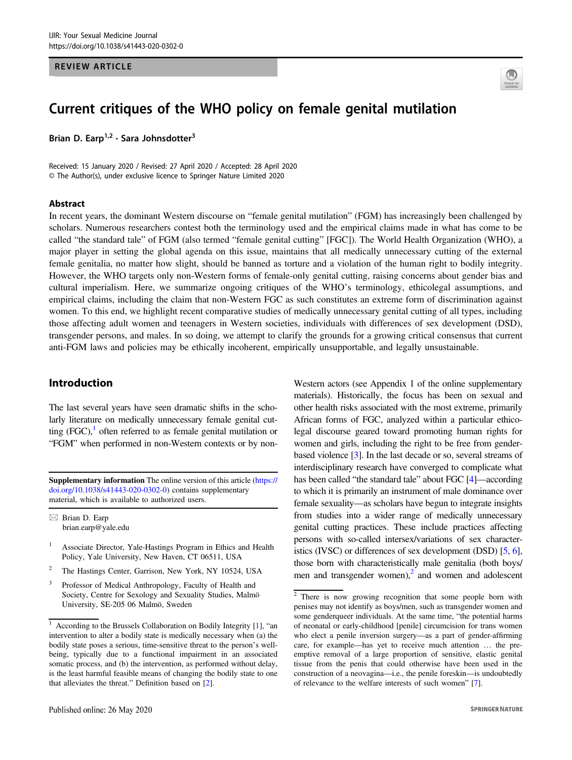### REVIEW ARTICLE



# Current critiques of the WHO policy on female genital mutilation

Brian D. Earp<sup>1,2</sup> · Sara Johnsdotter<sup>3</sup>

Received: 15 January 2020 / Revised: 27 April 2020 / Accepted: 28 April 2020 © The Author(s), under exclusive licence to Springer Nature Limited 2020

#### Abstract

In recent years, the dominant Western discourse on "female genital mutilation" (FGM) has increasingly been challenged by scholars. Numerous researchers contest both the terminology used and the empirical claims made in what has come to be called "the standard tale" of FGM (also termed "female genital cutting" [FGC]). The World Health Organization (WHO), a major player in setting the global agenda on this issue, maintains that all medically unnecessary cutting of the external female genitalia, no matter how slight, should be banned as torture and a violation of the human right to bodily integrity. However, the WHO targets only non-Western forms of female-only genital cutting, raising concerns about gender bias and cultural imperialism. Here, we summarize ongoing critiques of the WHO's terminology, ethicolegal assumptions, and empirical claims, including the claim that non-Western FGC as such constitutes an extreme form of discrimination against women. To this end, we highlight recent comparative studies of medically unnecessary genital cutting of all types, including those affecting adult women and teenagers in Western societies, individuals with differences of sex development (DSD), transgender persons, and males. In so doing, we attempt to clarify the grounds for a growing critical consensus that current anti-FGM laws and policies may be ethically incoherent, empirically unsupportable, and legally unsustainable.

## Introduction

The last several years have seen dramatic shifts in the scholarly literature on medically unnecessary female genital cutting (FGC), $\frac{1}{1}$  often referred to as female genital mutilation or "FGM" when performed in non-Western contexts or by non-

Supplementary information The online version of this article ([https://](https://doi.org/10.1038/s41443-020-0302-0) [doi.org/10.1038/s41443-020-0302-0\)](https://doi.org/10.1038/s41443-020-0302-0) contains supplementary material, which is available to authorized users.

 $\boxtimes$  Brian D. Earp [brian.earp@yale.edu](mailto:brian.earp@yale.edu)

- <sup>1</sup> Associate Director, Yale-Hastings Program in Ethics and Health Policy, Yale University, New Haven, CT 06511, USA
- <sup>2</sup> The Hastings Center, Garrison, New York, NY 10524, USA
- <sup>3</sup> Professor of Medical Anthropology, Faculty of Health and Society, Centre for Sexology and Sexuality Studies, Malmö University, SE-205 06 Malmö, Sweden

Western actors (see Appendix 1 of the online supplementary materials). Historically, the focus has been on sexual and other health risks associated with the most extreme, primarily African forms of FGC, analyzed within a particular ethicolegal discourse geared toward promoting human rights for women and girls, including the right to be free from genderbased violence [[3](#page-10-0)]. In the last decade or so, several streams of interdisciplinary research have converged to complicate what has been called "the standard tale" about FGC [[4\]](#page-10-0)—according to which it is primarily an instrument of male dominance over female sexuality—as scholars have begun to integrate insights from studies into a wider range of medically unnecessary genital cutting practices. These include practices affecting persons with so-called intersex/variations of sex characteristics (IVSC) or differences of sex development (DSD) [\[5,](#page-10-0) [6\]](#page-10-0), those born with characteristically male genitalia (both boys/ men and transgender women), $<sup>2</sup>$  and women and adolescent</sup>

<sup>&</sup>lt;sup>1</sup> According to the Brussels Collaboration on Bodily Integrity [\[1](#page-10-0)], "an intervention to alter a bodily state is medically necessary when (a) the bodily state poses a serious, time-sensitive threat to the person's wellbeing, typically due to a functional impairment in an associated somatic process, and (b) the intervention, as performed without delay, is the least harmful feasible means of changing the bodily state to one that alleviates the threat." Definition based on [\[2](#page-10-0)].

 $\sqrt{2}$  There is now growing recognition that some people born with penises may not identify as boys/men, such as transgender women and some genderqueer individuals. At the same time, "the potential harms of neonatal or early-childhood [penile] circumcision for trans women who elect a penile inversion surgery—as a part of gender-affirming care, for example—has yet to receive much attention … the preemptive removal of a large proportion of sensitive, elastic genital tissue from the penis that could otherwise have been used in the construction of a neovagina—i.e., the penile foreskin—is undoubtedly of relevance to the welfare interests of such women" [[7\]](#page-10-0).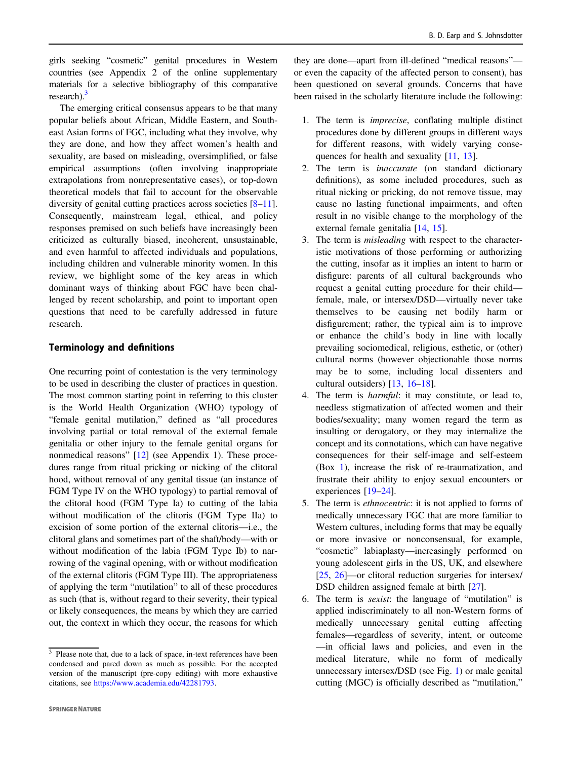girls seeking "cosmetic" genital procedures in Western countries (see Appendix 2 of the online supplementary materials for a selective bibliography of this comparative research).<sup>3</sup>

The emerging critical consensus appears to be that many popular beliefs about African, Middle Eastern, and Southeast Asian forms of FGC, including what they involve, why they are done, and how they affect women's health and sexuality, are based on misleading, oversimplified, or false empirical assumptions (often involving inappropriate extrapolations from nonrepresentative cases), or top-down theoretical models that fail to account for the observable diversity of genital cutting practices across societies [\[8](#page-10-0)–[11](#page-10-0)]. Consequently, mainstream legal, ethical, and policy responses premised on such beliefs have increasingly been criticized as culturally biased, incoherent, unsustainable, and even harmful to affected individuals and populations, including children and vulnerable minority women. In this review, we highlight some of the key areas in which dominant ways of thinking about FGC have been challenged by recent scholarship, and point to important open questions that need to be carefully addressed in future research.

## Terminology and definitions

One recurring point of contestation is the very terminology to be used in describing the cluster of practices in question. The most common starting point in referring to this cluster is the World Health Organization (WHO) typology of "female genital mutilation," defined as "all procedures involving partial or total removal of the external female genitalia or other injury to the female genital organs for nonmedical reasons" [\[12](#page-10-0)] (see Appendix 1). These procedures range from ritual pricking or nicking of the clitoral hood, without removal of any genital tissue (an instance of FGM Type IV on the WHO typology) to partial removal of the clitoral hood (FGM Type Ia) to cutting of the labia without modification of the clitoris (FGM Type IIa) to excision of some portion of the external clitoris—i.e., the clitoral glans and sometimes part of the shaft/body—with or without modification of the labia (FGM Type Ib) to narrowing of the vaginal opening, with or without modification of the external clitoris (FGM Type III). The appropriateness of applying the term "mutilation" to all of these procedures as such (that is, without regard to their severity, their typical or likely consequences, the means by which they are carried out, the context in which they occur, the reasons for which

- 1. The term is imprecise, conflating multiple distinct procedures done by different groups in different ways for different reasons, with widely varying consequences for health and sexuality [\[11](#page-10-0), [13](#page-10-0)].
- 2. The term is inaccurate (on standard dictionary definitions), as some included procedures, such as ritual nicking or pricking, do not remove tissue, may cause no lasting functional impairments, and often result in no visible change to the morphology of the external female genitalia [[14,](#page-10-0) [15](#page-10-0)].
- 3. The term is misleading with respect to the characteristic motivations of those performing or authorizing the cutting, insofar as it implies an intent to harm or disfigure: parents of all cultural backgrounds who request a genital cutting procedure for their child female, male, or intersex/DSD—virtually never take themselves to be causing net bodily harm or disfigurement; rather, the typical aim is to improve or enhance the child's body in line with locally prevailing sociomedical, religious, esthetic, or (other) cultural norms (however objectionable those norms may be to some, including local dissenters and cultural outsiders) [[13,](#page-10-0) [16](#page-10-0)–[18\]](#page-10-0).
- 4. The term is harmful: it may constitute, or lead to, needless stigmatization of affected women and their bodies/sexuality; many women regard the term as insulting or derogatory, or they may internalize the concept and its connotations, which can have negative consequences for their self-image and self-esteem (Box [1\)](#page-2-0), increase the risk of re-traumatization, and frustrate their ability to enjoy sexual encounters or experiences [\[19](#page-10-0)–[24](#page-11-0)].
- 5. The term is ethnocentric: it is not applied to forms of medically unnecessary FGC that are more familiar to Western cultures, including forms that may be equally or more invasive or nonconsensual, for example, "cosmetic" labiaplasty—increasingly performed on young adolescent girls in the US, UK, and elsewhere [\[25](#page-11-0), [26](#page-11-0)]—or clitoral reduction surgeries for intersex/ DSD children assigned female at birth [[27\]](#page-11-0).
- 6. The term is sexist: the language of "mutilation" is applied indiscriminately to all non-Western forms of medically unnecessary genital cutting affecting females—regardless of severity, intent, or outcome —in official laws and policies, and even in the medical literature, while no form of medically unnecessary intersex/DSD (see Fig. [1\)](#page-2-0) or male genital cutting (MGC) is officially described as "mutilation,"

 $\frac{3}{3}$  Please note that, due to a lack of space, in-text references have been condensed and pared down as much as possible. For the accepted version of the manuscript (pre-copy editing) with more exhaustive citations, see <https://www.academia.edu/42281793>.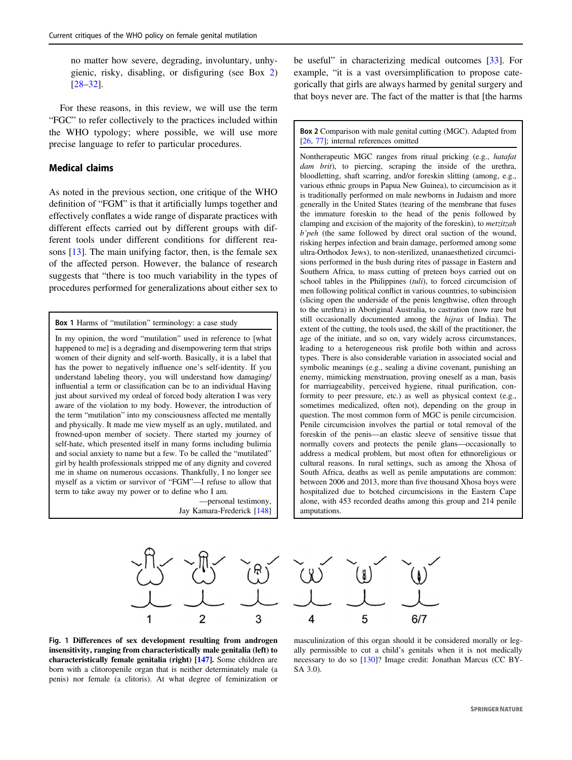<span id="page-2-0"></span>no matter how severe, degrading, involuntary, unhygienic, risky, disabling, or disfiguring (see Box 2) [\[28](#page-11-0)–[32](#page-11-0)].

For these reasons, in this review, we will use the term "FGC" to refer collectively to the practices included within the WHO typology; where possible, we will use more precise language to refer to particular procedures.

## Medical claims

As noted in the previous section, one critique of the WHO definition of "FGM" is that it artificially lumps together and effectively conflates a wide range of disparate practices with different effects carried out by different groups with different tools under different conditions for different reasons [[13\]](#page-10-0). The main unifying factor, then, is the female sex of the affected person. However, the balance of research suggests that "there is too much variability in the types of procedures performed for generalizations about either sex to

Box 1 Harms of "mutilation" terminology: a case study

In my opinion, the word "mutilation" used in reference to [what happened to me] is a degrading and disempowering term that strips women of their dignity and self-worth. Basically, it is a label that has the power to negatively influence one's self-identity. If you understand labeling theory, you will understand how damaging/ influential a term or classification can be to an individual Having just about survived my ordeal of forced body alteration I was very aware of the violation to my body. However, the introduction of the term "mutilation" into my consciousness affected me mentally and physically. It made me view myself as an ugly, mutilated, and frowned-upon member of society. There started my journey of self-hate, which presented itself in many forms including bulimia and social anxiety to name but a few. To be called the "mutilated" girl by health professionals stripped me of any dignity and covered me in shame on numerous occasions. Thankfully, I no longer see myself as a victim or survivor of "FGM"—I refuse to allow that term to take away my power or to define who I am.

> —personal testimony, Jay Kamara-Frederick [\[148\]](#page-13-0)

be useful" in characterizing medical outcomes [[33\]](#page-11-0). For example, "it is a vast oversimplification to propose categorically that girls are always harmed by genital surgery and that boys never are. The fact of the matter is that [the harms

Box 2 Comparison with male genital cutting (MGC). Adapted from [\[26,](#page-11-0) [77](#page-12-0)]; internal references omitted

Nontherapeutic MGC ranges from ritual pricking (e.g., hatafat dam brit), to piercing, scraping the inside of the urethra, bloodletting, shaft scarring, and/or foreskin slitting (among, e.g., various ethnic groups in Papua New Guinea), to circumcision as it is traditionally performed on male newborns in Judaism and more generally in the United States (tearing of the membrane that fuses the immature foreskin to the head of the penis followed by clamping and excision of the majority of the foreskin), to metzitzah b'peh (the same followed by direct oral suction of the wound, risking herpes infection and brain damage, performed among some ultra-Orthodox Jews), to non-sterilized, unanaesthetized circumcisions performed in the bush during rites of passage in Eastern and Southern Africa, to mass cutting of preteen boys carried out on school tables in the Philippines (tuli), to forced circumcision of men following political conflict in various countries, to subincision (slicing open the underside of the penis lengthwise, often through to the urethra) in Aboriginal Australia, to castration (now rare but still occasionally documented among the hijras of India). The extent of the cutting, the tools used, the skill of the practitioner, the age of the initiate, and so on, vary widely across circumstances, leading to a heterogeneous risk profile both within and across types. There is also considerable variation in associated social and symbolic meanings (e.g., sealing a divine covenant, punishing an enemy, mimicking menstruation, proving oneself as a man, basis for marriageability, perceived hygiene, ritual purification, conformity to peer pressure, etc.) as well as physical context (e.g., sometimes medicalized, often not), depending on the group in question. The most common form of MGC is penile circumcision. Penile circumcision involves the partial or total removal of the foreskin of the penis—an elastic sleeve of sensitive tissue that normally covers and protects the penile glans—occasionally to address a medical problem, but most often for ethnoreligious or cultural reasons. In rural settings, such as among the Xhosa of South Africa, deaths as well as penile amputations are common: between 2006 and 2013, more than five thousand Xhosa boys were hospitalized due to botched circumcisions in the Eastern Cape alone, with 453 recorded deaths among this group and 214 penile amputations.





Fig. 1 Differences of sex development resulting from androgen insensitivity, ranging from characteristically male genitalia (left) to characteristically female genitalia (right) [\[147](#page-13-0)]. Some children are born with a clitoropenile organ that is neither determinately male (a penis) nor female (a clitoris). At what degree of feminization or

masculinization of this organ should it be considered morally or legally permissible to cut a child's genitals when it is not medically necessary to do so [\[130\]](#page-13-0)? Image credit: Jonathan Marcus (CC BY-SA 3.0).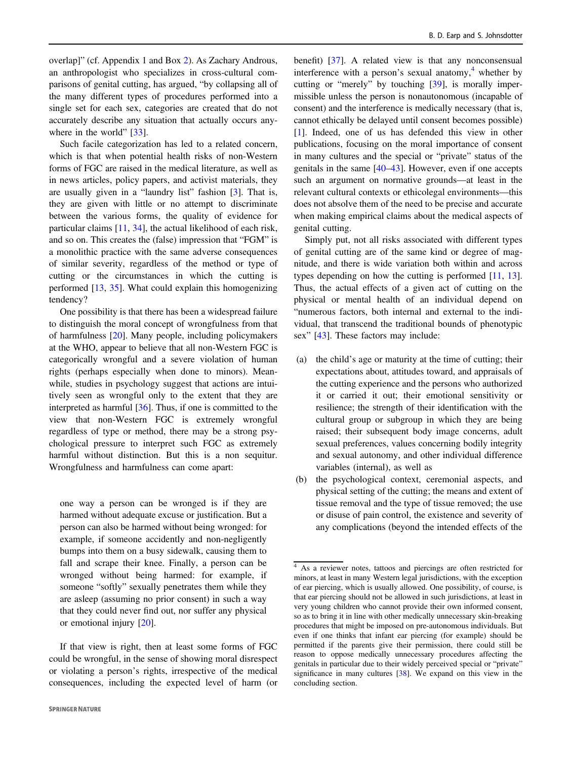overlap]" (cf. Appendix 1 and Box [2](#page-2-0)). As Zachary Androus, an anthropologist who specializes in cross-cultural comparisons of genital cutting, has argued, "by collapsing all of the many different types of procedures performed into a single set for each sex, categories are created that do not accurately describe any situation that actually occurs any-where in the world" [[33\]](#page-11-0).

Such facile categorization has led to a related concern, which is that when potential health risks of non-Western forms of FGC are raised in the medical literature, as well as in news articles, policy papers, and activist materials, they are usually given in a "laundry list" fashion [[3\]](#page-10-0). That is, they are given with little or no attempt to discriminate between the various forms, the quality of evidence for particular claims [[11,](#page-10-0) [34](#page-11-0)], the actual likelihood of each risk, and so on. This creates the (false) impression that "FGM" is a monolithic practice with the same adverse consequences of similar severity, regardless of the method or type of cutting or the circumstances in which the cutting is performed [\[13](#page-10-0), [35](#page-11-0)]. What could explain this homogenizing tendency?

One possibility is that there has been a widespread failure to distinguish the moral concept of wrongfulness from that of harmfulness [\[20](#page-10-0)]. Many people, including policymakers at the WHO, appear to believe that all non-Western FGC is categorically wrongful and a severe violation of human rights (perhaps especially when done to minors). Meanwhile, studies in psychology suggest that actions are intuitively seen as wrongful only to the extent that they are interpreted as harmful [\[36](#page-11-0)]. Thus, if one is committed to the view that non-Western FGC is extremely wrongful regardless of type or method, there may be a strong psychological pressure to interpret such FGC as extremely harmful without distinction. But this is a non sequitur. Wrongfulness and harmfulness can come apart:

one way a person can be wronged is if they are harmed without adequate excuse or justification. But a person can also be harmed without being wronged: for example, if someone accidently and non-negligently bumps into them on a busy sidewalk, causing them to fall and scrape their knee. Finally, a person can be wronged without being harmed: for example, if someone "softly" sexually penetrates them while they are asleep (assuming no prior consent) in such a way that they could never find out, nor suffer any physical or emotional injury [[20\]](#page-10-0).

If that view is right, then at least some forms of FGC could be wrongful, in the sense of showing moral disrespect or violating a person's rights, irrespective of the medical consequences, including the expected level of harm (or

benefit) [[37\]](#page-11-0). A related view is that any nonconsensual interference with a person's sexual anatomy, $\frac{4}{3}$  whether by cutting or "merely" by touching [\[39](#page-11-0)], is morally impermissible unless the person is nonautonomous (incapable of consent) and the interference is medically necessary (that is, cannot ethically be delayed until consent becomes possible) [\[1](#page-10-0)]. Indeed, one of us has defended this view in other publications, focusing on the moral importance of consent in many cultures and the special or "private" status of the genitals in the same [[40](#page-11-0)–[43\]](#page-11-0). However, even if one accepts such an argument on normative grounds—at least in the relevant cultural contexts or ethicolegal environments—this does not absolve them of the need to be precise and accurate when making empirical claims about the medical aspects of genital cutting.

Simply put, not all risks associated with different types of genital cutting are of the same kind or degree of magnitude, and there is wide variation both within and across types depending on how the cutting is performed [[11,](#page-10-0) [13\]](#page-10-0). Thus, the actual effects of a given act of cutting on the physical or mental health of an individual depend on "numerous factors, both internal and external to the individual, that transcend the traditional bounds of phenotypic sex" [\[43](#page-11-0)]. These factors may include:

- (a) the child's age or maturity at the time of cutting; their expectations about, attitudes toward, and appraisals of the cutting experience and the persons who authorized it or carried it out; their emotional sensitivity or resilience; the strength of their identification with the cultural group or subgroup in which they are being raised; their subsequent body image concerns, adult sexual preferences, values concerning bodily integrity and sexual autonomy, and other individual difference variables (internal), as well as
- (b) the psychological context, ceremonial aspects, and physical setting of the cutting; the means and extent of tissue removal and the type of tissue removed; the use or disuse of pain control, the existence and severity of any complications (beyond the intended effects of the

<sup>4</sup> As a reviewer notes, tattoos and piercings are often restricted for minors, at least in many Western legal jurisdictions, with the exception of ear piercing, which is usually allowed. One possibility, of course, is that ear piercing should not be allowed in such jurisdictions, at least in very young children who cannot provide their own informed consent, so as to bring it in line with other medically unnecessary skin-breaking procedures that might be imposed on pre-autonomous individuals. But even if one thinks that infant ear piercing (for example) should be permitted if the parents give their permission, there could still be reason to oppose medically unnecessary procedures affecting the genitals in particular due to their widely perceived special or "private" significance in many cultures [\[38\]](#page-11-0). We expand on this view in the concluding section.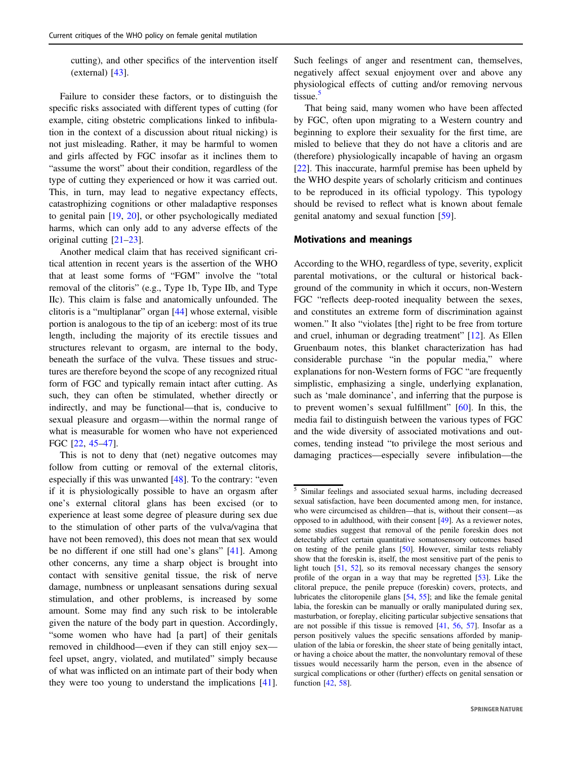cutting), and other specifics of the intervention itself (external) [[43\]](#page-11-0).

Failure to consider these factors, or to distinguish the specific risks associated with different types of cutting (for example, citing obstetric complications linked to infibulation in the context of a discussion about ritual nicking) is not just misleading. Rather, it may be harmful to women and girls affected by FGC insofar as it inclines them to "assume the worst" about their condition, regardless of the type of cutting they experienced or how it was carried out. This, in turn, may lead to negative expectancy effects, catastrophizing cognitions or other maladaptive responses to genital pain [\[19](#page-10-0), [20](#page-10-0)], or other psychologically mediated harms, which can only add to any adverse effects of the original cutting [[21](#page-11-0)–[23\]](#page-11-0).

Another medical claim that has received significant critical attention in recent years is the assertion of the WHO that at least some forms of "FGM" involve the "total removal of the clitoris" (e.g., Type 1b, Type IIb, and Type IIc). This claim is false and anatomically unfounded. The clitoris is a "multiplanar" organ [\[44](#page-11-0)] whose external, visible portion is analogous to the tip of an iceberg: most of its true length, including the majority of its erectile tissues and structures relevant to orgasm, are internal to the body, beneath the surface of the vulva. These tissues and structures are therefore beyond the scope of any recognized ritual form of FGC and typically remain intact after cutting. As such, they can often be stimulated, whether directly or indirectly, and may be functional—that is, conducive to sexual pleasure and orgasm—within the normal range of what is measurable for women who have not experienced FGC [[22,](#page-11-0) [45](#page-11-0)–[47\]](#page-11-0).

This is not to deny that (net) negative outcomes may follow from cutting or removal of the external clitoris, especially if this was unwanted [\[48](#page-11-0)]. To the contrary: "even if it is physiologically possible to have an orgasm after one's external clitoral glans has been excised (or to experience at least some degree of pleasure during sex due to the stimulation of other parts of the vulva/vagina that have not been removed), this does not mean that sex would be no different if one still had one's glans" [[41\]](#page-11-0). Among other concerns, any time a sharp object is brought into contact with sensitive genital tissue, the risk of nerve damage, numbness or unpleasant sensations during sexual stimulation, and other problems, is increased by some amount. Some may find any such risk to be intolerable given the nature of the body part in question. Accordingly, "some women who have had [a part] of their genitals removed in childhood—even if they can still enjoy sex feel upset, angry, violated, and mutilated" simply because of what was inflicted on an intimate part of their body when they were too young to understand the implications [\[41](#page-11-0)].

Such feelings of anger and resentment can, themselves, negatively affect sexual enjoyment over and above any physiological effects of cutting and/or removing nervous tissue.<sup>5</sup>

That being said, many women who have been affected by FGC, often upon migrating to a Western country and beginning to explore their sexuality for the first time, are misled to believe that they do not have a clitoris and are (therefore) physiologically incapable of having an orgasm [\[22](#page-11-0)]. This inaccurate, harmful premise has been upheld by the WHO despite years of scholarly criticism and continues to be reproduced in its official typology. This typology should be revised to reflect what is known about female genital anatomy and sexual function [\[59](#page-11-0)].

#### Motivations and meanings

According to the WHO, regardless of type, severity, explicit parental motivations, or the cultural or historical background of the community in which it occurs, non-Western FGC "reflects deep-rooted inequality between the sexes, and constitutes an extreme form of discrimination against women." It also "violates [the] right to be free from torture and cruel, inhuman or degrading treatment" [\[12](#page-10-0)]. As Ellen Gruenbaum notes, this blanket characterization has had considerable purchase "in the popular media," where explanations for non-Western forms of FGC "are frequently simplistic, emphasizing a single, underlying explanation, such as 'male dominance', and inferring that the purpose is to prevent women's sexual fulfillment" [[60\]](#page-11-0). In this, the media fail to distinguish between the various types of FGC and the wide diversity of associated motivations and outcomes, tending instead "to privilege the most serious and damaging practices—especially severe infibulation—the

<sup>5</sup> Similar feelings and associated sexual harms, including decreased sexual satisfaction, have been documented among men, for instance, who were circumcised as children—that is, without their consent—as opposed to in adulthood, with their consent [[49](#page-11-0)]. As a reviewer notes, some studies suggest that removal of the penile foreskin does not detectably affect certain quantitative somatosensory outcomes based on testing of the penile glans [[50](#page-11-0)]. However, similar tests reliably show that the foreskin is, itself, the most sensitive part of the penis to light touch [[51](#page-11-0), [52\]](#page-11-0), so its removal necessary changes the sensory profile of the organ in a way that may be regretted [[53](#page-11-0)]. Like the clitoral prepuce, the penile prepuce (foreskin) covers, protects, and lubricates the clitoropenile glans [[54](#page-11-0), [55\]](#page-11-0); and like the female genital labia, the foreskin can be manually or orally manipulated during sex, masturbation, or foreplay, eliciting particular subjective sensations that are not possible if this tissue is removed [\[41,](#page-11-0) [56](#page-11-0), [57](#page-11-0)]. Insofar as a person positively values the specific sensations afforded by manipulation of the labia or foreskin, the sheer state of being genitally intact, or having a choice about the matter, the nonvoluntary removal of these tissues would necessarily harm the person, even in the absence of surgical complications or other (further) effects on genital sensation or function [[42](#page-11-0), [58\]](#page-11-0).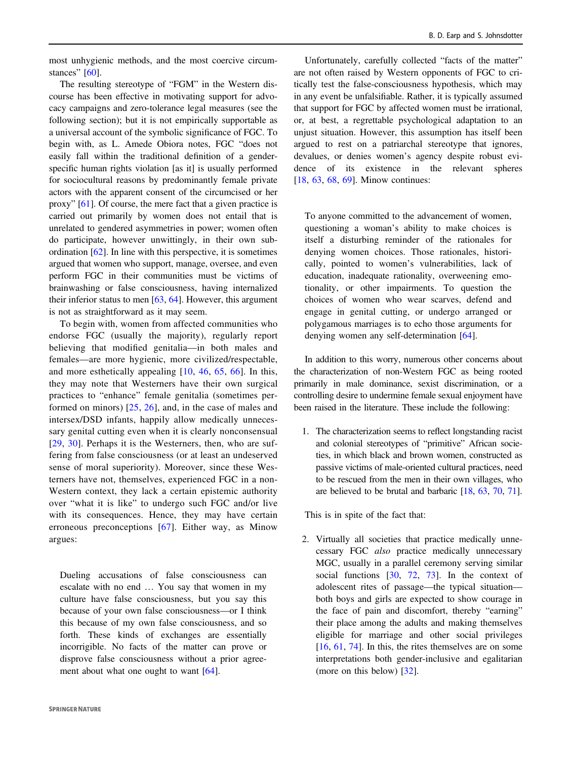most unhygienic methods, and the most coercive circum-stances" [\[60](#page-11-0)].

The resulting stereotype of "FGM" in the Western discourse has been effective in motivating support for advocacy campaigns and zero-tolerance legal measures (see the following section); but it is not empirically supportable as a universal account of the symbolic significance of FGC. To begin with, as L. Amede Obiora notes, FGC "does not easily fall within the traditional definition of a genderspecific human rights violation [as it] is usually performed for sociocultural reasons by predominantly female private actors with the apparent consent of the circumcised or her proxy" [\[61](#page-11-0)]. Of course, the mere fact that a given practice is carried out primarily by women does not entail that is unrelated to gendered asymmetries in power; women often do participate, however unwittingly, in their own subordination [\[62](#page-11-0)]. In line with this perspective, it is sometimes argued that women who support, manage, oversee, and even perform FGC in their communities must be victims of brainwashing or false consciousness, having internalized their inferior status to men  $[63, 64]$  $[63, 64]$  $[63, 64]$  $[63, 64]$ . However, this argument is not as straightforward as it may seem.

To begin with, women from affected communities who endorse FGC (usually the majority), regularly report believing that modified genitalia—in both males and females—are more hygienic, more civilized/respectable, and more esthetically appealing [[10,](#page-10-0) [46](#page-11-0), [65,](#page-11-0) [66](#page-12-0)]. In this, they may note that Westerners have their own surgical practices to "enhance" female genitalia (sometimes performed on minors)  $[25, 26]$  $[25, 26]$  $[25, 26]$ , and, in the case of males and intersex/DSD infants, happily allow medically unnecessary genital cutting even when it is clearly nonconsensual [\[29,](#page-11-0) [30\]](#page-11-0). Perhaps it is the Westerners, then, who are suffering from false consciousness (or at least an undeserved sense of moral superiority). Moreover, since these Westerners have not, themselves, experienced FGC in a non-Western context, they lack a certain epistemic authority over "what it is like" to undergo such FGC and/or live with its consequences. Hence, they may have certain erroneous preconceptions [[67](#page-12-0)]. Either way, as Minow argues:

Dueling accusations of false consciousness can escalate with no end … You say that women in my culture have false consciousness, but you say this because of your own false consciousness—or I think this because of my own false consciousness, and so forth. These kinds of exchanges are essentially incorrigible. No facts of the matter can prove or disprove false consciousness without a prior agreement about what one ought to want  $[64]$  $[64]$ .

Unfortunately, carefully collected "facts of the matter" are not often raised by Western opponents of FGC to critically test the false-consciousness hypothesis, which may in any event be unfalsifiable. Rather, it is typically assumed that support for FGC by affected women must be irrational, or, at best, a regrettable psychological adaptation to an unjust situation. However, this assumption has itself been argued to rest on a patriarchal stereotype that ignores, devalues, or denies women's agency despite robust evidence of its existence in the relevant spheres [\[18](#page-10-0), [63](#page-11-0), [68,](#page-12-0) [69\]](#page-12-0). Minow continues:

To anyone committed to the advancement of women, questioning a woman's ability to make choices is itself a disturbing reminder of the rationales for denying women choices. Those rationales, historically, pointed to women's vulnerabilities, lack of education, inadequate rationality, overweening emotionality, or other impairments. To question the choices of women who wear scarves, defend and engage in genital cutting, or undergo arranged or polygamous marriages is to echo those arguments for denying women any self-determination [[64\]](#page-11-0).

In addition to this worry, numerous other concerns about the characterization of non-Western FGC as being rooted primarily in male dominance, sexist discrimination, or a controlling desire to undermine female sexual enjoyment have been raised in the literature. These include the following:

1. The characterization seems to reflect longstanding racist and colonial stereotypes of "primitive" African societies, in which black and brown women, constructed as passive victims of male-oriented cultural practices, need to be rescued from the men in their own villages, who are believed to be brutal and barbaric [[18](#page-10-0), [63,](#page-11-0) [70](#page-12-0), [71](#page-12-0)].

This is in spite of the fact that:

2. Virtually all societies that practice medically unnecessary FGC also practice medically unnecessary MGC, usually in a parallel ceremony serving similar social functions  $[30, 72, 73]$  $[30, 72, 73]$  $[30, 72, 73]$  $[30, 72, 73]$  $[30, 72, 73]$  $[30, 72, 73]$ . In the context of adolescent rites of passage—the typical situation both boys and girls are expected to show courage in the face of pain and discomfort, thereby "earning" their place among the adults and making themselves eligible for marriage and other social privileges  $[16, 61, 74]$  $[16, 61, 74]$  $[16, 61, 74]$  $[16, 61, 74]$  $[16, 61, 74]$  $[16, 61, 74]$ . In this, the rites themselves are on some interpretations both gender-inclusive and egalitarian (more on this below) [[32\]](#page-11-0).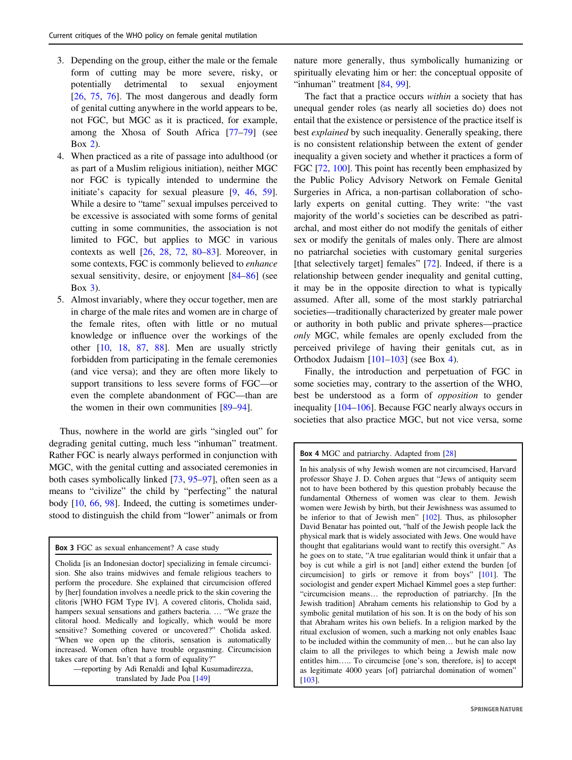- 3. Depending on the group, either the male or the female form of cutting may be more severe, risky, or potentially detrimental to sexual enjoyment [\[26](#page-11-0), [75](#page-12-0), [76](#page-12-0)]. The most dangerous and deadly form of genital cutting anywhere in the world appears to be, not FGC, but MGC as it is practiced, for example, among the Xhosa of South Africa [\[77](#page-12-0)–[79](#page-12-0)] (see Box [2\)](#page-2-0).
- 4. When practiced as a rite of passage into adulthood (or as part of a Muslim religious initiation), neither MGC nor FGC is typically intended to undermine the initiate's capacity for sexual pleasure [\[9](#page-10-0), [46](#page-11-0), [59](#page-11-0)]. While a desire to "tame" sexual impulses perceived to be excessive is associated with some forms of genital cutting in some communities, the association is not limited to FGC, but applies to MGC in various contexts as well  $[26, 28, 72, 80-83]$  $[26, 28, 72, 80-83]$  $[26, 28, 72, 80-83]$  $[26, 28, 72, 80-83]$  $[26, 28, 72, 80-83]$  $[26, 28, 72, 80-83]$  $[26, 28, 72, 80-83]$  $[26, 28, 72, 80-83]$  $[26, 28, 72, 80-83]$  $[26, 28, 72, 80-83]$  $[26, 28, 72, 80-83]$ . Moreover, in some contexts, FGC is commonly believed to enhance sexual sensitivity, desire, or enjoyment [\[84](#page-12-0)–[86](#page-12-0)] (see Box 3).
- 5. Almost invariably, where they occur together, men are in charge of the male rites and women are in charge of the female rites, often with little or no mutual knowledge or influence over the workings of the other [\[10](#page-10-0), [18](#page-10-0), [87](#page-12-0), [88](#page-12-0)]. Men are usually strictly forbidden from participating in the female ceremonies (and vice versa); and they are often more likely to support transitions to less severe forms of FGC—or even the complete abandonment of FGC—than are the women in their own communities [\[89](#page-12-0)–[94](#page-12-0)].

Thus, nowhere in the world are girls "singled out" for degrading genital cutting, much less "inhuman" treatment. Rather FGC is nearly always performed in conjunction with MGC, with the genital cutting and associated ceremonies in both cases symbolically linked [[73](#page-12-0), [95](#page-12-0)–[97\]](#page-12-0), often seen as a means to "civilize" the child by "perfecting" the natural body [[10,](#page-10-0) [66,](#page-12-0) [98](#page-12-0)]. Indeed, the cutting is sometimes understood to distinguish the child from "lower" animals or from

Box 3 FGC as sexual enhancement? A case study

Cholida [is an Indonesian doctor] specializing in female circumcision. She also trains midwives and female religious teachers to perform the procedure. She explained that circumcision offered by [her] foundation involves a needle prick to the skin covering the clitoris [WHO FGM Type IV]. A covered clitoris, Cholida said, hampers sexual sensations and gathers bacteria. … "We graze the clitoral hood. Medically and logically, which would be more sensitive? Something covered or uncovered?" Cholida asked. "When we open up the clitoris, sensation is automatically increased. Women often have trouble orgasming. Circumcision takes care of that. Isn't that a form of equality?"

—reporting by Adi Renaldi and Iqbal Kusumadirezza, translated by Jade Poa [[149](#page-13-0)]

nature more generally, thus symbolically humanizing or spiritually elevating him or her: the conceptual opposite of "inhuman" treatment [[84,](#page-12-0) [99](#page-12-0)].

The fact that a practice occurs *within* a society that has unequal gender roles (as nearly all societies do) does not entail that the existence or persistence of the practice itself is best explained by such inequality. Generally speaking, there is no consistent relationship between the extent of gender inequality a given society and whether it practices a form of FGC [\[72](#page-12-0), [100\]](#page-12-0). This point has recently been emphasized by the Public Policy Advisory Network on Female Genital Surgeries in Africa, a non-partisan collaboration of scholarly experts on genital cutting. They write: "the vast majority of the world's societies can be described as patriarchal, and most either do not modify the genitals of either sex or modify the genitals of males only. There are almost no patriarchal societies with customary genital surgeries [that selectively target] females" [\[72](#page-12-0)]. Indeed, if there is a relationship between gender inequality and genital cutting, it may be in the opposite direction to what is typically assumed. After all, some of the most starkly patriarchal societies—traditionally characterized by greater male power or authority in both public and private spheres—practice only MGC, while females are openly excluded from the perceived privilege of having their genitals cut, as in Orthodox Judaism [\[101](#page-12-0)–[103](#page-12-0)] (see Box 4).

Finally, the introduction and perpetuation of FGC in some societies may, contrary to the assertion of the WHO, best be understood as a form of opposition to gender inequality [\[104](#page-12-0)–[106](#page-12-0)]. Because FGC nearly always occurs in societies that also practice MGC, but not vice versa, some

Box 4 MGC and patriarchy. Adapted from [[28](#page-11-0)]

In his analysis of why Jewish women are not circumcised, Harvard professor Shaye J. D. Cohen argues that "Jews of antiquity seem not to have been bothered by this question probably because the fundamental Otherness of women was clear to them. Jewish women were Jewish by birth, but their Jewishness was assumed to be inferior to that of Jewish men" [[102\]](#page-12-0). Thus, as philosopher David Benatar has pointed out, "half of the Jewish people lack the physical mark that is widely associated with Jews. One would have thought that egalitarians would want to rectify this oversight." As he goes on to state, "A true egalitarian would think it unfair that a boy is cut while a girl is not [and] either extend the burden [of circumcision] to girls or remove it from boys" [\[101](#page-12-0)]. The sociologist and gender expert Michael Kimmel goes a step further: "circumcision means… the reproduction of patriarchy. [In the Jewish tradition] Abraham cements his relationship to God by a symbolic genital mutilation of his son. It is on the body of his son that Abraham writes his own beliefs. In a religion marked by the ritual exclusion of women, such a marking not only enables Isaac to be included within the community of men… but he can also lay claim to all the privileges to which being a Jewish male now entitles him….. To circumcise [one's son, therefore, is] to accept as legitimate 4000 years [of] patriarchal domination of women" [\[103](#page-12-0)].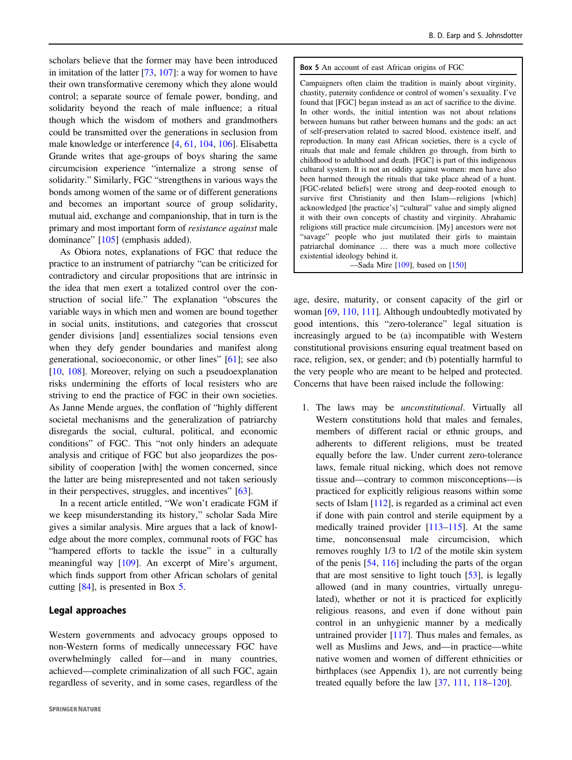scholars believe that the former may have been introduced in imitation of the latter [\[73](#page-12-0), [107](#page-12-0)]: a way for women to have their own transformative ceremony which they alone would control; a separate source of female power, bonding, and solidarity beyond the reach of male influence; a ritual though which the wisdom of mothers and grandmothers could be transmitted over the generations in seclusion from male knowledge or interference [\[4](#page-10-0), [61](#page-11-0), [104](#page-12-0), [106](#page-12-0)]. Elisabetta Grande writes that age-groups of boys sharing the same circumcision experience "internalize a strong sense of solidarity." Similarly, FGC "strengthens in various ways the bonds among women of the same or of different generations and becomes an important source of group solidarity, mutual aid, exchange and companionship, that in turn is the primary and most important form of resistance against male dominance" [\[105](#page-12-0)] (emphasis added).

As Obiora notes, explanations of FGC that reduce the practice to an instrument of patriarchy "can be criticized for contradictory and circular propositions that are intrinsic in the idea that men exert a totalized control over the construction of social life." The explanation "obscures the variable ways in which men and women are bound together in social units, institutions, and categories that crosscut gender divisions [and] essentializes social tensions even when they defy gender boundaries and manifest along generational, socioeconomic, or other lines" [\[61](#page-11-0)]; see also [\[10](#page-10-0), [108](#page-12-0)]. Moreover, relying on such a pseudoexplanation risks undermining the efforts of local resisters who are striving to end the practice of FGC in their own societies. As Janne Mende argues, the conflation of "highly different societal mechanisms and the generalization of patriarchy disregards the social, cultural, political, and economic conditions" of FGC. This "not only hinders an adequate analysis and critique of FGC but also jeopardizes the possibility of cooperation [with] the women concerned, since the latter are being misrepresented and not taken seriously in their perspectives, struggles, and incentives" [\[63](#page-11-0)].

In a recent article entitled, "We won't eradicate FGM if we keep misunderstanding its history," scholar Sada Mire gives a similar analysis. Mire argues that a lack of knowledge about the more complex, communal roots of FGC has "hampered efforts to tackle the issue" in a culturally meaningful way [\[109](#page-12-0)]. An excerpt of Mire's argument, which finds support from other African scholars of genital cutting [\[84](#page-12-0)], is presented in Box 5.

#### Legal approaches

Western governments and advocacy groups opposed to non-Western forms of medically unnecessary FGC have overwhelmingly called for—and in many countries, achieved—complete criminalization of all such FGC, again regardless of severity, and in some cases, regardless of the

#### Box 5 An account of east African origins of FGC

Campaigners often claim the tradition is mainly about virginity, chastity, paternity confidence or control of women's sexuality. I've found that [FGC] began instead as an act of sacrifice to the divine. In other words, the initial intention was not about relations between humans but rather between humans and the gods: an act of self-preservation related to sacred blood, existence itself, and reproduction. In many east African societies, there is a cycle of rituals that male and female children go through, from birth to childhood to adulthood and death. [FGC] is part of this indigenous cultural system. It is not an oddity against women: men have also been harmed through the rituals that take place ahead of a hunt. [FGC-related beliefs] were strong and deep-rooted enough to survive first Christianity and then Islam—religions [which] acknowledged [the practice's] "cultural" value and simply aligned it with their own concepts of chastity and virginity. Abrahamic religions still practice male circumcision. [My] ancestors were not "savage" people who just mutilated their girls to maintain patriarchal dominance … there was a much more collective existential ideology behind it.

—Sada Mire [[109\]](#page-12-0), based on [\[150](#page-13-0)]

age, desire, maturity, or consent capacity of the girl or woman [\[69](#page-12-0), [110](#page-12-0), [111](#page-13-0)]. Although undoubtedly motivated by good intentions, this "zero-tolerance" legal situation is increasingly argued to be (a) incompatible with Western constitutional provisions ensuring equal treatment based on race, religion, sex, or gender; and (b) potentially harmful to the very people who are meant to be helped and protected. Concerns that have been raised include the following:

1. The laws may be unconstitutional. Virtually all Western constitutions hold that males and females, members of different racial or ethnic groups, and adherents to different religions, must be treated equally before the law. Under current zero-tolerance laws, female ritual nicking, which does not remove tissue and—contrary to common misconceptions—is practiced for explicitly religious reasons within some sects of Islam [\[112](#page-13-0)], is regarded as a criminal act even if done with pain control and sterile equipment by a medically trained provider [[113](#page-13-0)–[115\]](#page-13-0). At the same time, nonconsensual male circumcision, which removes roughly 1/3 to 1/2 of the motile skin system of the penis [\[54](#page-11-0), [116](#page-13-0)] including the parts of the organ that are most sensitive to light touch [[53](#page-11-0)], is legally allowed (and in many countries, virtually unregulated), whether or not it is practiced for explicitly religious reasons, and even if done without pain control in an unhygienic manner by a medically untrained provider  $[117]$  $[117]$ . Thus males and females, as well as Muslims and Jews, and—in practice—white native women and women of different ethnicities or birthplaces (see Appendix 1), are not currently being treated equally before the law [\[37](#page-11-0), [111,](#page-13-0) [118](#page-13-0)–[120\]](#page-13-0).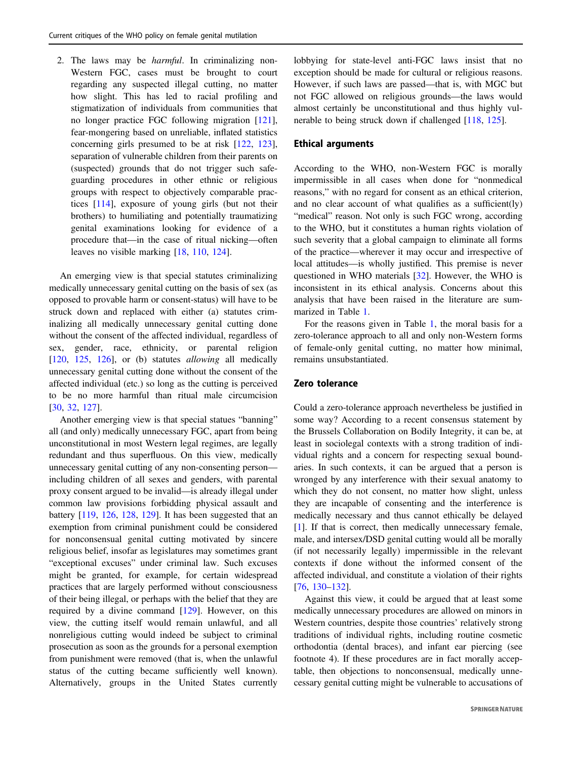2. The laws may be harmful. In criminalizing non-Western FGC, cases must be brought to court regarding any suspected illegal cutting, no matter how slight. This has led to racial profiling and stigmatization of individuals from communities that no longer practice FGC following migration [\[121](#page-13-0)], fear-mongering based on unreliable, inflated statistics concerning girls presumed to be at risk [[122,](#page-13-0) [123](#page-13-0)], separation of vulnerable children from their parents on (suspected) grounds that do not trigger such safeguarding procedures in other ethnic or religious groups with respect to objectively comparable practices [\[114](#page-13-0)], exposure of young girls (but not their brothers) to humiliating and potentially traumatizing genital examinations looking for evidence of a procedure that—in the case of ritual nicking—often leaves no visible marking [\[18](#page-10-0), [110](#page-12-0), [124\]](#page-13-0).

An emerging view is that special statutes criminalizing medically unnecessary genital cutting on the basis of sex (as opposed to provable harm or consent-status) will have to be struck down and replaced with either (a) statutes criminalizing all medically unnecessary genital cutting done without the consent of the affected individual, regardless of sex, gender, race, ethnicity, or parental religion [\[120](#page-13-0), [125,](#page-13-0) [126\]](#page-13-0), or (b) statutes *allowing* all medically unnecessary genital cutting done without the consent of the affected individual (etc.) so long as the cutting is perceived to be no more harmful than ritual male circumcision [\[30](#page-11-0), [32](#page-11-0), [127\]](#page-13-0).

Another emerging view is that special statues "banning" all (and only) medically unnecessary FGC, apart from being unconstitutional in most Western legal regimes, are legally redundant and thus superfluous. On this view, medically unnecessary genital cutting of any non-consenting person including children of all sexes and genders, with parental proxy consent argued to be invalid—is already illegal under common law provisions forbidding physical assault and battery [[119,](#page-13-0) [126,](#page-13-0) [128,](#page-13-0) [129](#page-13-0)]. It has been suggested that an exemption from criminal punishment could be considered for nonconsensual genital cutting motivated by sincere religious belief, insofar as legislatures may sometimes grant "exceptional excuses" under criminal law. Such excuses might be granted, for example, for certain widespread practices that are largely performed without consciousness of their being illegal, or perhaps with the belief that they are required by a divine command [\[129](#page-13-0)]. However, on this view, the cutting itself would remain unlawful, and all nonreligious cutting would indeed be subject to criminal prosecution as soon as the grounds for a personal exemption from punishment were removed (that is, when the unlawful status of the cutting became sufficiently well known). Alternatively, groups in the United States currently

lobbying for state-level anti-FGC laws insist that no exception should be made for cultural or religious reasons. However, if such laws are passed—that is, with MGC but not FGC allowed on religious grounds—the laws would almost certainly be unconstitutional and thus highly vulnerable to being struck down if challenged [\[118](#page-13-0), [125](#page-13-0)].

#### Ethical arguments

According to the WHO, non-Western FGC is morally impermissible in all cases when done for "nonmedical reasons," with no regard for consent as an ethical criterion, and no clear account of what qualifies as a sufficient(ly) "medical" reason. Not only is such FGC wrong, according to the WHO, but it constitutes a human rights violation of such severity that a global campaign to eliminate all forms of the practice—wherever it may occur and irrespective of local attitudes—is wholly justified. This premise is never questioned in WHO materials [[32\]](#page-11-0). However, the WHO is inconsistent in its ethical analysis. Concerns about this analysis that have been raised in the literature are summarized in Table [1.](#page-9-0)

For the reasons given in Table [1](#page-9-0), the moral basis for a zero-tolerance approach to all and only non-Western forms of female-only genital cutting, no matter how minimal, remains unsubstantiated.

## Zero tolerance

Could a zero-tolerance approach nevertheless be justified in some way? According to a recent consensus statement by the Brussels Collaboration on Bodily Integrity, it can be, at least in sociolegal contexts with a strong tradition of individual rights and a concern for respecting sexual boundaries. In such contexts, it can be argued that a person is wronged by any interference with their sexual anatomy to which they do not consent, no matter how slight, unless they are incapable of consenting and the interference is medically necessary and thus cannot ethically be delayed [\[1](#page-10-0)]. If that is correct, then medically unnecessary female, male, and intersex/DSD genital cutting would all be morally (if not necessarily legally) impermissible in the relevant contexts if done without the informed consent of the affected individual, and constitute a violation of their rights [\[76](#page-12-0), [130](#page-13-0)–[132](#page-13-0)].

Against this view, it could be argued that at least some medically unnecessary procedures are allowed on minors in Western countries, despite those countries' relatively strong traditions of individual rights, including routine cosmetic orthodontia (dental braces), and infant ear piercing (see footnote 4). If these procedures are in fact morally acceptable, then objections to nonconsensual, medically unnecessary genital cutting might be vulnerable to accusations of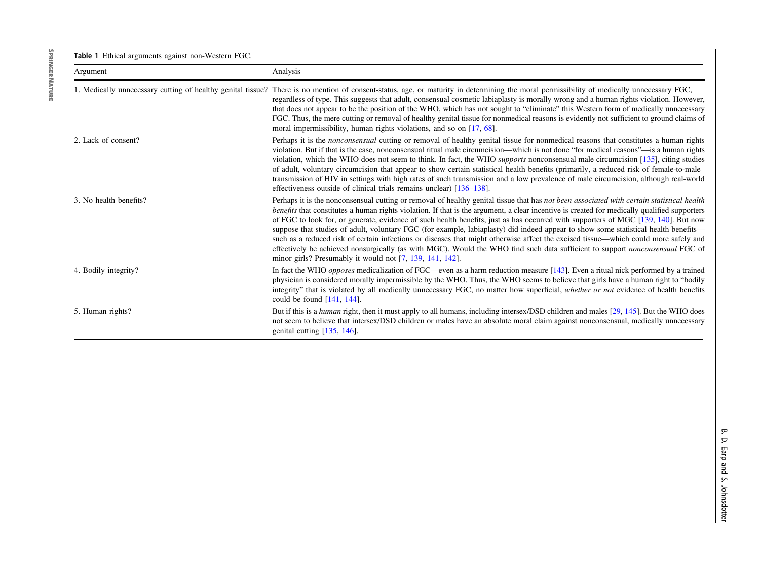<span id="page-9-0"></span>Table 1 Ethical arguments against non-Western FGC.

| Argument               | Analysis                                                                                                                                                                                                                                                                                                                                                                                                                                                                                                                                                                                                                                                                                                                                                                                                                                                                                                  |
|------------------------|-----------------------------------------------------------------------------------------------------------------------------------------------------------------------------------------------------------------------------------------------------------------------------------------------------------------------------------------------------------------------------------------------------------------------------------------------------------------------------------------------------------------------------------------------------------------------------------------------------------------------------------------------------------------------------------------------------------------------------------------------------------------------------------------------------------------------------------------------------------------------------------------------------------|
|                        | 1. Medically unnecessary cutting of healthy genital tissue? There is no mention of consent-status, age, or maturity in determining the moral permissibility of medically unnecessary FGC,<br>regardless of type. This suggests that adult, consensual cosmetic labiaplasty is morally wrong and a human rights violation. However,<br>that does not appear to be the position of the WHO, which has not sought to "eliminate" this Western form of medically unnecessary<br>FGC. Thus, the mere cutting or removal of healthy genital tissue for nonmedical reasons is evidently not sufficient to ground claims of<br>moral impermissibility, human rights violations, and so on $[17, 68]$ .                                                                                                                                                                                                            |
| 2. Lack of consent?    | Perhaps it is the <i>nonconsensual</i> cutting or removal of healthy genital tissue for nonmedical reasons that constitutes a human rights<br>violation. But if that is the case, nonconsensual ritual male circumcision—which is not done "for medical reasons"—is a human rights<br>violation, which the WHO does not seem to think. In fact, the WHO <i>supports</i> nonconsensual male circumcision [135], citing studies<br>of adult, voluntary circumcision that appear to show certain statistical health benefits (primarily, a reduced risk of female-to-male<br>transmission of HIV in settings with high rates of such transmission and a low prevalence of male circumcision, although real-world<br>effectiveness outside of clinical trials remains unclear) [136–138].                                                                                                                     |
| 3. No health benefits? | Perhaps it is the nonconsensual cutting or removal of healthy genital tissue that has not been associated with certain statistical health<br>benefits that constitutes a human rights violation. If that is the argument, a clear incentive is created for medically qualified supporters<br>of FGC to look for, or generate, evidence of such health benefits, just as has occurred with supporters of MGC [139, 140]. But now<br>suppose that studies of adult, voluntary FGC (for example, labiaplasty) did indeed appear to show some statistical health benefits—<br>such as a reduced risk of certain infections or diseases that might otherwise affect the excised tissue—which could more safely and<br>effectively be achieved nonsurgically (as with MGC). Would the WHO find such data sufficient to support nonconsensual FGC of<br>minor girls? Presumably it would not [7, 139, 141, 142]. |
| 4. Bodily integrity?   | In fact the WHO <i>opposes</i> medicalization of FGC—even as a harm reduction measure [143]. Even a ritual nick performed by a trained<br>physician is considered morally impermissible by the WHO. Thus, the WHO seems to believe that girls have a human right to "bodily"<br>integrity" that is violated by all medically unnecessary FGC, no matter how superficial, whether or not evidence of health benefits<br>could be found $[141, 144]$ .                                                                                                                                                                                                                                                                                                                                                                                                                                                      |
| 5. Human rights?       | But if this is a human right, then it must apply to all humans, including intersex/DSD children and males [29, 145]. But the WHO does<br>not seem to believe that intersex/DSD children or males have an absolute moral claim against nonconsensual, medically unnecessary<br>genital cutting $[135, 146]$ .                                                                                                                                                                                                                                                                                                                                                                                                                                                                                                                                                                                              |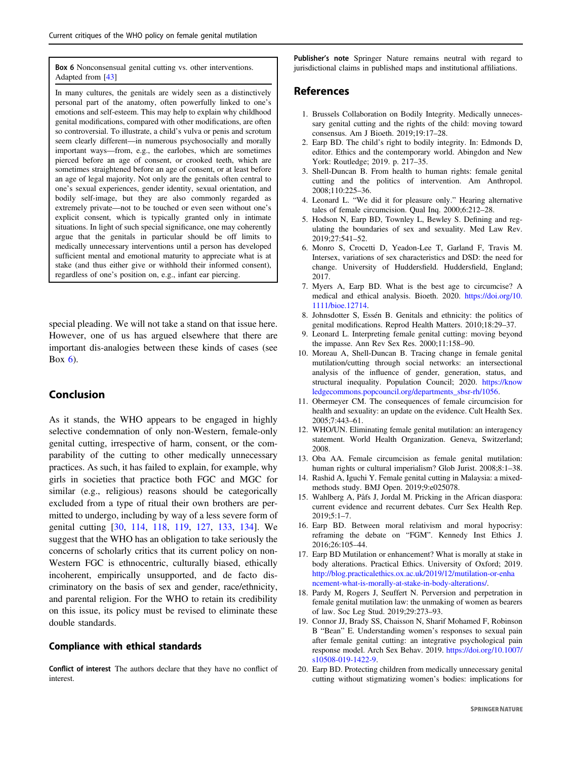<span id="page-10-0"></span>Box 6 Nonconsensual genital cutting vs. other interventions. Adapted from [[43](#page-11-0)]

In many cultures, the genitals are widely seen as a distinctively personal part of the anatomy, often powerfully linked to one's emotions and self-esteem. This may help to explain why childhood genital modifications, compared with other modifications, are often so controversial. To illustrate, a child's vulva or penis and scrotum seem clearly different—in numerous psychosocially and morally important ways—from, e.g., the earlobes, which are sometimes pierced before an age of consent, or crooked teeth, which are sometimes straightened before an age of consent, or at least before an age of legal majority. Not only are the genitals often central to one's sexual experiences, gender identity, sexual orientation, and bodily self-image, but they are also commonly regarded as extremely private—not to be touched or even seen without one's explicit consent, which is typically granted only in intimate situations. In light of such special significance, one may coherently argue that the genitals in particular should be off limits to medically unnecessary interventions until a person has developed sufficient mental and emotional maturity to appreciate what is at stake (and thus either give or withhold their informed consent), regardless of one's position on, e.g., infant ear piercing.

special pleading. We will not take a stand on that issue here. However, one of us has argued elsewhere that there are important dis-analogies between these kinds of cases (see Box 6).

## Conclusion

As it stands, the WHO appears to be engaged in highly selective condemnation of only non-Western, female-only genital cutting, irrespective of harm, consent, or the comparability of the cutting to other medically unnecessary practices. As such, it has failed to explain, for example, why girls in societies that practice both FGC and MGC for similar (e.g., religious) reasons should be categorically excluded from a type of ritual their own brothers are permitted to undergo, including by way of a less severe form of genital cutting [[30,](#page-11-0) [114](#page-13-0), [118](#page-13-0), [119,](#page-13-0) [127](#page-13-0), [133,](#page-13-0) [134\]](#page-13-0). We suggest that the WHO has an obligation to take seriously the concerns of scholarly critics that its current policy on non-Western FGC is ethnocentric, culturally biased, ethically incoherent, empirically unsupported, and de facto discriminatory on the basis of sex and gender, race/ethnicity, and parental religion. For the WHO to retain its credibility on this issue, its policy must be revised to eliminate these double standards.

## Compliance with ethical standards

Conflict of interest The authors declare that they have no conflict of interest.

Publisher's note Springer Nature remains neutral with regard to jurisdictional claims in published maps and institutional affiliations.

## References

- 1. Brussels Collaboration on Bodily Integrity. Medically unnecessary genital cutting and the rights of the child: moving toward consensus. Am J Bioeth. 2019;19:17–28.
- 2. Earp BD. The child's right to bodily integrity. In: Edmonds D, editor. Ethics and the contemporary world. Abingdon and New York: Routledge; 2019. p. 217–35.
- 3. Shell-Duncan B. From health to human rights: female genital cutting and the politics of intervention. Am Anthropol. 2008;110:225–36.
- 4. Leonard L. "We did it for pleasure only." Hearing alternative tales of female circumcision. Qual Inq. 2000;6:212–28.
- 5. Hodson N, Earp BD, Townley L, Bewley S. Defining and regulating the boundaries of sex and sexuality. Med Law Rev. 2019;27:541–52.
- 6. Monro S, Crocetti D, Yeadon-Lee T, Garland F, Travis M. Intersex, variations of sex characteristics and DSD: the need for change. University of Huddersfield. Huddersfield, England; 2017.
- 7. Myers A, Earp BD. What is the best age to circumcise? A medical and ethical analysis. Bioeth. 2020. [https://doi.org/10.](https://doi.org/10.1111/bioe.12714) [1111/bioe.12714](https://doi.org/10.1111/bioe.12714).
- 8. Johnsdotter S, Essén B. Genitals and ethnicity: the politics of genital modifications. Reprod Health Matters. 2010;18:29–37.
- 9. Leonard L. Interpreting female genital cutting: moving beyond the impasse. Ann Rev Sex Res. 2000;11:158–90.
- 10. Moreau A, Shell-Duncan B. Tracing change in female genital mutilation/cutting through social networks: an intersectional analysis of the influence of gender, generation, status, and structural inequality. Population Council; 2020. [https://know](https://knowledgecommons.popcouncil.org/departments_sbsr-rh/1056) [ledgecommons.popcouncil.org/departments\\_sbsr-rh/1056.](https://knowledgecommons.popcouncil.org/departments_sbsr-rh/1056)
- 11. Obermeyer CM. The consequences of female circumcision for health and sexuality: an update on the evidence. Cult Health Sex. 2005;7:443–61.
- 12. WHO/UN. Eliminating female genital mutilation: an interagency statement. World Health Organization. Geneva, Switzerland; 2008.
- 13. Oba AA. Female circumcision as female genital mutilation: human rights or cultural imperialism? Glob Jurist. 2008;8:1–38.
- 14. Rashid A, Iguchi Y. Female genital cutting in Malaysia: a mixedmethods study. BMJ Open. 2019;9:e025078.
- 15. Wahlberg A, Påfs J, Jordal M. Pricking in the African diaspora: current evidence and recurrent debates. Curr Sex Health Rep. 2019;5:1–7.
- 16. Earp BD. Between moral relativism and moral hypocrisy: reframing the debate on "FGM". Kennedy Inst Ethics J. 2016;26:105–44.
- 17. Earp BD Mutilation or enhancement? What is morally at stake in body alterations. Practical Ethics. University of Oxford; 2019. [http://blog.practicalethics.ox.ac.uk/2019/12/mutilation-or-enha](http://blog.practicalethics.ox.ac.uk/2019/12/mutilation-or-enhancement-what-is-morally-at-stake-in-body-alterations/) [ncement-what-is-morally-at-stake-in-body-alterations/](http://blog.practicalethics.ox.ac.uk/2019/12/mutilation-or-enhancement-what-is-morally-at-stake-in-body-alterations/).
- 18. Pardy M, Rogers J, Seuffert N. Perversion and perpetration in female genital mutilation law: the unmaking of women as bearers of law. Soc Leg Stud. 2019;29:273–93.
- 19. Connor JJ, Brady SS, Chaisson N, Sharif Mohamed F, Robinson B "Bean" E. Understanding women's responses to sexual pain after female genital cutting: an integrative psychological pain response model. Arch Sex Behav. 2019. [https://doi.org/10.1007/](https://doi.org/10.1007/s10508-019-1422-9) [s10508-019-1422-9.](https://doi.org/10.1007/s10508-019-1422-9)
- 20. Earp BD. Protecting children from medically unnecessary genital cutting without stigmatizing women's bodies: implications for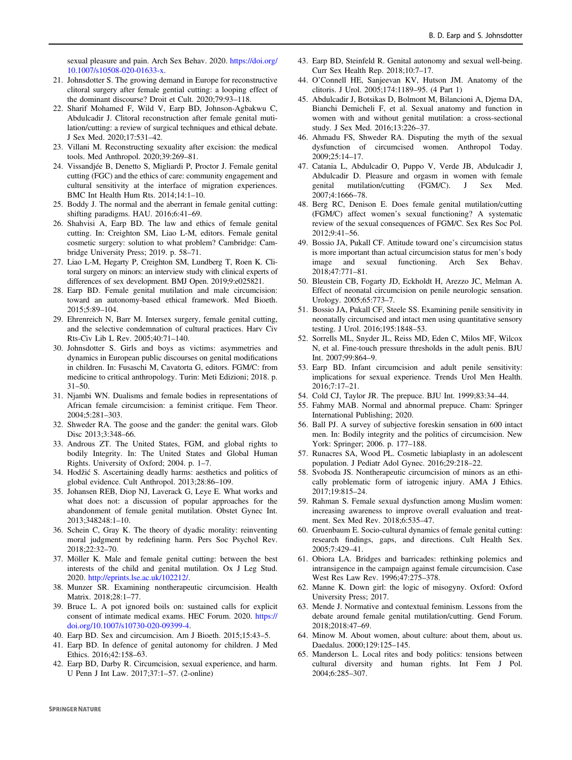<span id="page-11-0"></span>sexual pleasure and pain. Arch Sex Behav. 2020. [https://doi.org/](https://doi.org/10.1007/s10508-020-01633-x) [10.1007/s10508-020-01633-x.](https://doi.org/10.1007/s10508-020-01633-x)

- 21. Johnsdotter S. The growing demand in Europe for reconstructive clitoral surgery after female gential cutting: a looping effect of the dominant discourse? Droit et Cult. 2020;79:93–118.
- 22. Sharif Mohamed F, Wild V, Earp BD, Johnson-Agbakwu C, Abdulcadir J. Clitoral reconstruction after female genital mutilation/cutting: a review of surgical techniques and ethical debate. J Sex Med. 2020;17:531–42.
- 23. Villani M. Reconstructing sexuality after excision: the medical tools. Med Anthropol. 2020;39:269–81.
- 24. Vissandjée B, Denetto S, Migliardi P, Proctor J. Female genital cutting (FGC) and the ethics of care: community engagement and cultural sensitivity at the interface of migration experiences. BMC Int Health Hum Rts. 2014;14:1–10.
- 25. Boddy J. The normal and the aberrant in female genital cutting: shifting paradigms. HAU. 2016;6:41–69.
- 26. Shahvisi A, Earp BD. The law and ethics of female genital cutting. In: Creighton SM, Liao L-M, editors. Female genital cosmetic surgery: solution to what problem? Cambridge: Cambridge University Press; 2019. p. 58–71.
- 27. Liao L-M, Hegarty P, Creighton SM, Lundberg T, Roen K. Clitoral surgery on minors: an interview study with clinical experts of differences of sex development. BMJ Open. 2019;9:e025821.
- 28. Earp BD. Female genital mutilation and male circumcision: toward an autonomy-based ethical framework. Med Bioeth. 2015;5:89–104.
- 29. Ehrenreich N, Barr M. Intersex surgery, female genital cutting, and the selective condemnation of cultural practices. Harv Civ Rts-Civ Lib L Rev. 2005;40:71–140.
- 30. Johnsdotter S. Girls and boys as victims: asymmetries and dynamics in European public discourses on genital modifications in children. In: Fusaschi M, Cavatorta G, editors. FGM/C: from medicine to critical anthropology. Turin: Meti Edizioni; 2018. p. 31–50.
- 31. Njambi WN. Dualisms and female bodies in representations of African female circumcision: a feminist critique. Fem Theor. 2004;5:281–303.
- 32. Shweder RA. The goose and the gander: the genital wars. Glob Disc 2013;3:348–66.
- 33. Androus ZT. The United States, FGM, and global rights to bodily Integrity. In: The United States and Global Human Rights. University of Oxford; 2004. p. 1–7.
- 34. Hodžić S. Ascertaining deadly harms: aesthetics and politics of global evidence. Cult Anthropol. 2013;28:86–109.
- 35. Johansen REB, Diop NJ, Laverack G, Leye E. What works and what does not: a discussion of popular approaches for the abandonment of female genital mutilation. Obstet Gynec Int. 2013;348248:1–10.
- 36. Schein C, Gray K. The theory of dyadic morality: reinventing moral judgment by redefining harm. Pers Soc Psychol Rev. 2018;22:32–70.
- 37. Möller K. Male and female genital cutting: between the best interests of the child and genital mutilation. Ox J Leg Stud. 2020. <http://eprints.lse.ac.uk/102212/>.
- 38. Munzer SR. Examining nontherapeutic circumcision. Health Matrix. 2018;28:1–77.
- 39. Bruce L. A pot ignored boils on: sustained calls for explicit consent of intimate medical exams. HEC Forum. 2020. [https://](https://doi.org/10.1007/s10730-020-09399-4) [doi.org/10.1007/s10730-020-09399-4](https://doi.org/10.1007/s10730-020-09399-4).
- 40. Earp BD. Sex and circumcision. Am J Bioeth. 2015;15:43–5.
- 41. Earp BD. In defence of genital autonomy for children. J Med Ethics. 2016;42:158–63.
- 42. Earp BD, Darby R. Circumcision, sexual experience, and harm. U Penn J Int Law. 2017;37:1–57. (2-online)
- 43. Earp BD, Steinfeld R. Genital autonomy and sexual well-being. Curr Sex Health Rep. 2018;10:7–17.
- 44. O'Connell HE, Sanjeevan KV, Hutson JM. Anatomy of the clitoris. J Urol. 2005;174:1189–95. (4 Part 1)
- 45. Abdulcadir J, Botsikas D, Bolmont M, Bilancioni A, Djema DA, Bianchi Demicheli F, et al. Sexual anatomy and function in women with and without genital mutilation: a cross-sectional study. J Sex Med. 2016;13:226–37.
- 46. Ahmadu FS, Shweder RA. Disputing the myth of the sexual dysfunction of circumcised women. Anthropol Today. 2009;25:14–17.
- 47. Catania L, Abdulcadir O, Puppo V, Verde JB, Abdulcadir J, Abdulcadir D. Pleasure and orgasm in women with female genital mutilation/cutting (FGM/C). J Sex Med. 2007;4:1666–78.
- 48. Berg RC, Denison E. Does female genital mutilation/cutting (FGM/C) affect women's sexual functioning? A systematic review of the sexual consequences of FGM/C. Sex Res Soc Pol. 2012;9:41–56.
- 49. Bossio JA, Pukall CF. Attitude toward one's circumcision status is more important than actual circumcision status for men's body image and sexual functioning. Arch Sex Behav. 2018;47:771–81.
- 50. Bleustein CB, Fogarty JD, Eckholdt H, Arezzo JC, Melman A. Effect of neonatal circumcision on penile neurologic sensation. Urology. 2005;65:773–7.
- 51. Bossio JA, Pukall CF, Steele SS. Examining penile sensitivity in neonatally circumcised and intact men using quantitative sensory testing. J Urol. 2016;195:1848–53.
- 52. Sorrells ML, Snyder JL, Reiss MD, Eden C, Milos MF, Wilcox N, et al. Fine-touch pressure thresholds in the adult penis. BJU Int. 2007;99:864–9.
- 53. Earp BD. Infant circumcision and adult penile sensitivity: implications for sexual experience. Trends Urol Men Health. 2016;7:17–21.
- 54. Cold CJ, Taylor JR. The prepuce. BJU Int. 1999;83:34–44.
- 55. Fahmy MAB. Normal and abnormal prepuce. Cham: Springer International Publishing; 2020.
- 56. Ball PJ. A survey of subjective foreskin sensation in 600 intact men. In: Bodily integrity and the politics of circumcision. New York: Springer; 2006. p. 177–188.
- 57. Runacres SA, Wood PL. Cosmetic labiaplasty in an adolescent population. J Pediatr Adol Gynec. 2016;29:218–22.
- 58. Svoboda JS. Nontherapeutic circumcision of minors as an ethically problematic form of iatrogenic injury. AMA J Ethics. 2017;19:815–24.
- 59. Rahman S. Female sexual dysfunction among Muslim women: increasing awareness to improve overall evaluation and treatment. Sex Med Rev. 2018;6:535–47.
- 60. Gruenbaum E. Socio‐cultural dynamics of female genital cutting: research findings, gaps, and directions. Cult Health Sex. 2005;7:429–41.
- 61. Obiora LA. Bridges and barricades: rethinking polemics and intransigence in the campaign against female circumcision. Case West Res Law Rev. 1996;47:275–378.
- 62. Manne K. Down girl: the logic of misogyny. Oxford: Oxford University Press; 2017.
- 63. Mende J. Normative and contextual feminism. Lessons from the debate around female genital mutilation/cutting. Gend Forum. 2018;2018:47–69.
- 64. Minow M. About women, about culture: about them, about us. Daedalus. 2000;129:125–145.
- 65. Manderson L. Local rites and body politics: tensions between cultural diversity and human rights. Int Fem J Pol. 2004;6:285–307.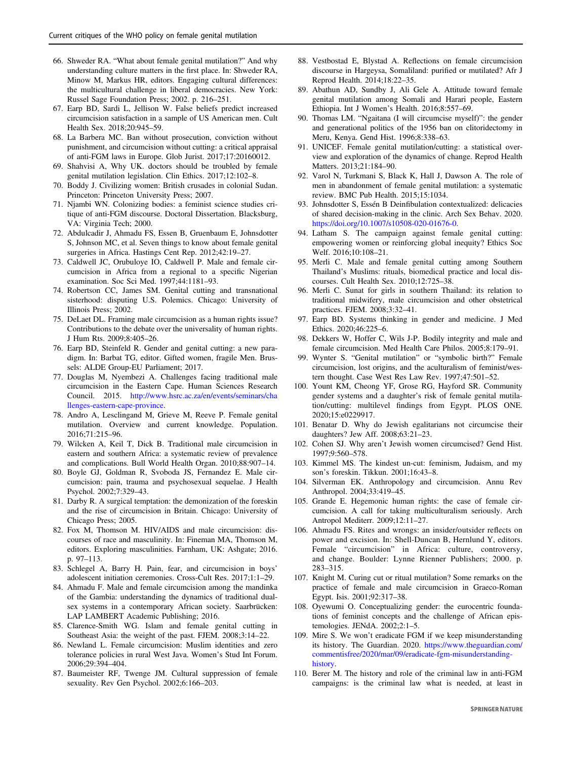- <span id="page-12-0"></span>66. Shweder RA. "What about female genital mutilation?" And why understanding culture matters in the first place. In: Shweder RA, Minow M, Markus HR, editors. Engaging cultural differences: the multicultural challenge in liberal democracies. New York: Russel Sage Foundation Press; 2002. p. 216–251.
- 67. Earp BD, Sardi L, Jellison W. False beliefs predict increased circumcision satisfaction in a sample of US American men. Cult Health Sex. 2018;20:945–59.
- 68. La Barbera MC. Ban without prosecution, conviction without punishment, and circumcision without cutting: a critical appraisal of anti-FGM laws in Europe. Glob Jurist. 2017;17:20160012.
- 69. Shahvisi A, Why UK. doctors should be troubled by female genital mutilation legislation. Clin Ethics. 2017;12:102–8.
- 70. Boddy J. Civilizing women: British crusades in colonial Sudan. Princeton: Princeton University Press; 2007.
- 71. Njambi WN. Colonizing bodies: a feminist science studies critique of anti-FGM discourse. Doctoral Dissertation. Blacksburg, VA: Virginia Tech; 2000.
- 72. Abdulcadir J, Ahmadu FS, Essen B, Gruenbaum E, Johnsdotter S, Johnson MC, et al. Seven things to know about female genital surgeries in Africa. Hastings Cent Rep. 2012;42:19–27.
- 73. Caldwell JC, Orubuloye IO, Caldwell P. Male and female circumcision in Africa from a regional to a specific Nigerian examination. Soc Sci Med. 1997;44:1181–93.
- 74. Robertson CC, James SM. Genital cutting and transnational sisterhood: disputing U.S. Polemics. Chicago: University of Illinois Press; 2002.
- 75. DeLaet DL. Framing male circumcision as a human rights issue? Contributions to the debate over the universality of human rights. J Hum Rts. 2009;8:405–26.
- 76. Earp BD, Steinfeld R. Gender and genital cutting: a new paradigm. In: Barbat TG, editor. Gifted women, fragile Men. Brussels: ALDE Group-EU Parliament; 2017.
- 77. Douglas M, Nyembezi A. Challenges facing traditional male circumcision in the Eastern Cape. Human Sciences Research Council. 2015. [http://www.hsrc.ac.za/en/events/seminars/cha](http://www.hsrc.ac.za/en/events/seminars/challenges-eastern-cape-province) [llenges-eastern-cape-province](http://www.hsrc.ac.za/en/events/seminars/challenges-eastern-cape-province).
- 78. Andro A, Lesclingand M, Grieve M, Reeve P. Female genital mutilation. Overview and current knowledge. Population. 2016;71:215–96.
- 79. Wilcken A, Keil T, Dick B. Traditional male circumcision in eastern and southern Africa: a systematic review of prevalence and complications. Bull World Health Organ. 2010;88:907–14.
- 80. Boyle GJ, Goldman R, Svoboda JS, Fernandez E. Male circumcision: pain, trauma and psychosexual sequelae. J Health Psychol. 2002;7:329–43.
- 81. Darby R. A surgical temptation: the demonization of the foreskin and the rise of circumcision in Britain. Chicago: University of Chicago Press; 2005.
- 82. Fox M, Thomson M. HIV/AIDS and male circumcision: discourses of race and masculinity. In: Fineman MA, Thomson M, editors. Exploring masculinities. Farnham, UK: Ashgate; 2016. p. 97–113.
- 83. Schlegel A, Barry H. Pain, fear, and circumcision in boys' adolescent initiation ceremonies. Cross-Cult Res. 2017;1:1–29.
- 84. Ahmadu F. Male and female circumcision among the mandinka of the Gambia: understanding the dynamics of traditional dualsex systems in a contemporary African society. Saarbrücken: LAP LAMBERT Academic Publishing; 2016.
- 85. Clarence-Smith WG. Islam and female genital cutting in Southeast Asia: the weight of the past. FJEM. 2008;3:14–22.
- 86. Newland L. Female circumcision: Muslim identities and zero tolerance policies in rural West Java. Women's Stud Int Forum. 2006;29:394–404.
- 87. Baumeister RF, Twenge JM. Cultural suppression of female sexuality. Rev Gen Psychol. 2002;6:166–203.
- 88. Vestbostad E, Blystad A. Reflections on female circumcision discourse in Hargeysa, Somaliland: purified or mutilated? Afr J Reprod Health. 2014;18:22–35.
- 89. Abathun AD, Sundby J, Ali Gele A. Attitude toward female genital mutilation among Somali and Harari people, Eastern Ethiopia. Int J Women's Health. 2016;8:557–69.
- 90. Thomas LM. "Ngaitana (I will circumcise myself)": the gender and generational politics of the 1956 ban on clitoridectomy in Meru, Kenya. Gend Hist. 1996;8:338–63.
- 91. UNICEF. Female genital mutilation/cutting: a statistical overview and exploration of the dynamics of change. Reprod Health Matters. 2013;21:184–90.
- 92. Varol N, Turkmani S, Black K, Hall J, Dawson A. The role of men in abandonment of female genital mutilation: a systematic review. BMC Pub Health. 2015;15:1034.
- 93. Johnsdotter S, Essén B Deinfibulation contextualized: delicacies of shared decision-making in the clinic. Arch Sex Behav. 2020. <https://doi.org/10.1007/s10508-020-01676-0>.
- 94. Latham S. The campaign against female genital cutting: empowering women or reinforcing global inequity? Ethics Soc Welf. 2016;10:108–21.
- 95. Merli C. Male and female genital cutting among Southern Thailand's Muslims: rituals, biomedical practice and local discourses. Cult Health Sex. 2010;12:725–38.
- 96. Merli C. Sunat for girls in southern Thailand: its relation to traditional midwifery, male circumcision and other obstetrical practices. FJEM. 2008;3:32–41.
- 97. Earp BD. Systems thinking in gender and medicine. J Med Ethics. 2020;46:225–6.
- 98. Dekkers W, Hoffer C, Wils J-P. Bodily integrity and male and female circumcision. Med Health Care Philos. 2005;8:179–91.
- 99. Wynter S. "Genital mutilation" or "symbolic birth?" Female circumcision, lost origins, and the aculturalism of feminist/western thought. Case West Res Law Rev. 1997;47:501–52.
- 100. Yount KM, Cheong YF, Grose RG, Hayford SR. Community gender systems and a daughter's risk of female genital mutilation/cutting: multilevel findings from Egypt. PLOS ONE. 2020;15:e0229917.
- 101. Benatar D. Why do Jewish egalitarians not circumcise their daughters? Jew Aff. 2008;63:21–23.
- 102. Cohen SJ. Why aren't Jewish women circumcised? Gend Hist. 1997;9:560–578.
- 103. Kimmel MS. The kindest un-cut: feminism, Judaism, and my son's foreskin. Tikkun. 2001;16:43–8.
- 104. Silverman EK. Anthropology and circumcision. Annu Rev Anthropol. 2004;33:419–45.
- 105. Grande E. Hegemonic human rights: the case of female circumcision. A call for taking multiculturalism seriously. Arch Antropol Mediterr. 2009;12:11–27.
- 106. Ahmadu FS. Rites and wrongs: an insider/outsider reflects on power and excision. In: Shell-Duncan B, Hernlund Y, editors. Female "circumcision" in Africa: culture, controversy, and change. Boulder: Lynne Rienner Publishers; 2000. p. 283–315.
- 107. Knight M. Curing cut or ritual mutilation? Some remarks on the practice of female and male circumcision in Graeco-Roman Egypt. Isis. 2001;92:317–38.
- 108. Oyewumi O. Conceptualizing gender: the eurocentric foundations of feminist concepts and the challenge of African epistemologies. JENdA. 2002;2:1–5.
- 109. Mire S. We won't eradicate FGM if we keep misunderstanding its history. The Guardian. 2020. [https://www.theguardian.com/](https://www.theguardian.com/commentisfree/2020/mar/09/eradicate-fgm-misunderstanding-history) [commentisfree/2020/mar/09/eradicate-fgm-misunderstanding](https://www.theguardian.com/commentisfree/2020/mar/09/eradicate-fgm-misunderstanding-history)[history](https://www.theguardian.com/commentisfree/2020/mar/09/eradicate-fgm-misunderstanding-history).
- 110. Berer M. The history and role of the criminal law in anti-FGM campaigns: is the criminal law what is needed, at least in